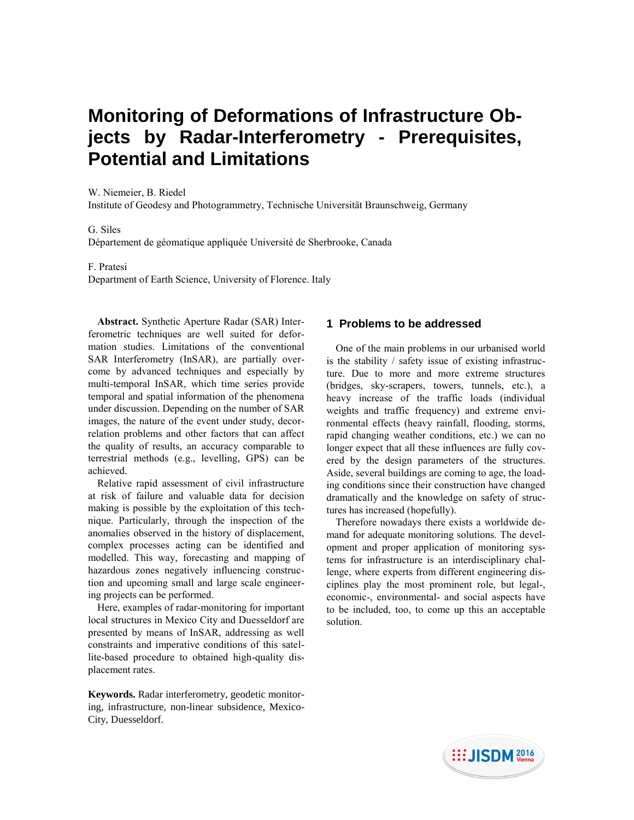# **Monitoring of Deformations of Infrastructure Objects by Radar-Interferometry - Prerequisites, Potential and Limitations**

W. Niemeier, B. Riedel Institute of Geodesy and Photogrammetry, Technische Universität Braunschweig, Germany

## G. Siles

Département de géomatique appliquée Université de Sherbrooke, Canada

F. Pratesi

Department of Earth Science, University of Florence. Italy

**Abstract.** Synthetic Aperture Radar (SAR) Interferometric techniques are well suited for deformation studies. Limitations of the conventional SAR Interferometry (InSAR), are partially overcome by advanced techniques and especially by multi-temporal InSAR, which time series provide temporal and spatial information of the phenomena under discussion. Depending on the number of SAR images, the nature of the event under study, decorrelation problems and other factors that can affect the quality of results, an accuracy comparable to terrestrial methods (e.g., levelling, GPS) can be achieved.

Relative rapid assessment of civil infrastructure at risk of failure and valuable data for decision making is possible by the exploitation of this technique. Particularly, through the inspection of the anomalies observed in the history of displacement, complex processes acting can be identified and modelled. This way, forecasting and mapping of hazardous zones negatively influencing construction and upcoming small and large scale engineering projects can be performed.

Here, examples of radar-monitoring for important local structures in Mexico City and Duesseldorf are presented by means of InSAR, addressing as well constraints and imperative conditions of this satellite-based procedure to obtained high-quality displacement rates.

**Keywords.** Radar interferometry, geodetic monitoring, infrastructure, non-linear subsidence, Mexico-City, Duesseldorf.

# **1 Problems to be addressed**

One of the main problems in our urbanised world is the stability / safety issue of existing infrastructure. Due to more and more extreme structures (bridges, sky-scrapers, towers, tunnels, etc.), a heavy increase of the traffic loads (individual weights and traffic frequency) and extreme environmental effects (heavy rainfall, flooding, storms, rapid changing weather conditions, etc.) we can no longer expect that all these influences are fully covered by the design parameters of the structures. Aside, several buildings are coming to age, the loading conditions since their construction have changed dramatically and the knowledge on safety of structures has increased (hopefully).

Therefore nowadays there exists a worldwide demand for adequate monitoring solutions. The development and proper application of monitoring systems for infrastructure is an interdisciplinary challenge, where experts from different engineering disciplines play the most prominent role, but legal-, economic-, environmental- and social aspects have to be included, too, to come up this an acceptable solution.

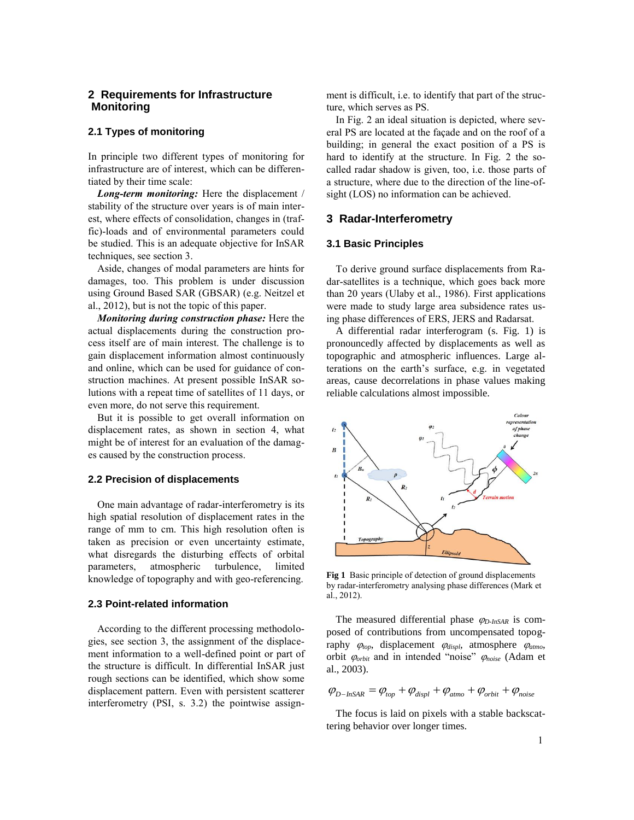# **2 Requirements for Infrastructure Monitoring**

# **2.1 Types of monitoring**

In principle two different types of monitoring for infrastructure are of interest, which can be differentiated by their time scale:

*Long-term monitoring:* Here the displacement / stability of the structure over years is of main interest, where effects of consolidation, changes in (traffic)-loads and of environmental parameters could be studied. This is an adequate objective for InSAR techniques, see section 3.

Aside, changes of modal parameters are hints for damages, too. This problem is under discussion using Ground Based SAR (GBSAR) (e.g. Neitzel et al., 2012), but is not the topic of this paper.

*Monitoring during construction phase:* Here the actual displacements during the construction process itself are of main interest. The challenge is to gain displacement information almost continuously and online, which can be used for guidance of construction machines. At present possible InSAR solutions with a repeat time of satellites of 11 days, or even more, do not serve this requirement.

But it is possible to get overall information on displacement rates, as shown in section 4, what might be of interest for an evaluation of the damages caused by the construction process.

#### **2.2 Precision of displacements**

One main advantage of radar-interferometry is its high spatial resolution of displacement rates in the range of mm to cm. This high resolution often is taken as precision or even uncertainty estimate, what disregards the disturbing effects of orbital parameters, atmospheric turbulence, limited knowledge of topography and with geo-referencing.

### **2.3 Point-related information**

According to the different processing methodologies, see section 3, the assignment of the displacement information to a well-defined point or part of the structure is difficult. In differential InSAR just rough sections can be identified, which show some displacement pattern. Even with persistent scatterer interferometry (PSI, s. 3.2) the pointwise assign-

ment is difficult, i.e. to identify that part of the structure, which serves as PS.

In Fig. 2 an ideal situation is depicted, where several PS are located at the façade and on the roof of a building; in general the exact position of a PS is hard to identify at the structure. In Fig. 2 the socalled radar shadow is given, too, i.e. those parts of a structure, where due to the direction of the line-ofsight (LOS) no information can be achieved.

## **3 Radar-Interferometry**

## **3.1 Basic Principles**

To derive ground surface displacements from Radar-satellites is a technique, which goes back more than 20 years (Ulaby et al., 1986). First applications were made to study large area subsidence rates using phase differences of ERS, JERS and Radarsat.

A differential radar interferogram (s. Fig. 1) is pronouncedly affected by displacements as well as topographic and atmospheric influences. Large alterations on the earth's surface, e.g. in vegetated areas, cause decorrelations in phase values making reliable calculations almost impossible.



**Fig 1** Basic principle of detection of ground displacements by radar-interferometry analysing phase differences (Mark et al., 2012).

The measured differential phase  $\varphi_{D\text{-}InSAR}$  is composed of contributions from uncompensated topography  $\varphi_{top}$ , displacement  $\varphi_{displ}$ , atmosphere  $\varphi_{atmo}$ , orbit  $\varphi_{orbit}$  and in intended "noise"  $\varphi_{noise}$  (Adam et al., 2003).

$$
\varphi_{D-InSAR} = \varphi_{top} + \varphi_{displ} + \varphi_{atmo} + \varphi_{orbit} + \varphi_{noise}
$$

The focus is laid on pixels with a stable backscattering behavior over longer times.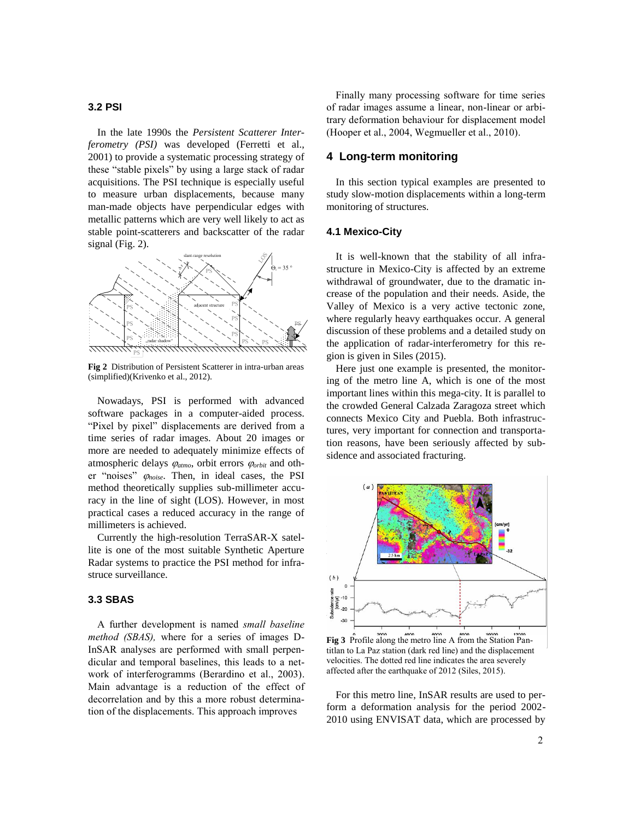#### **3.2 PSI**

In the late 1990s the *Persistent Scatterer Interferometry (PSI)* was developed (Ferretti et al., 2001) to provide a systematic processing strategy of these "stable pixels" by using a large stack of radar acquisitions. The PSI technique is especially useful to measure urban displacements, because many man-made objects have perpendicular edges with metallic patterns which are very well likely to act as stable point-scatterers and backscatter of the radar signal (Fig. 2).



**Fig 2** Distribution of Persistent Scatterer in intra-urban areas (simplified)(Krivenko et al., 2012).

Nowadays, PSI is performed with advanced software packages in a computer-aided process. "Pixel by pixel" displacements are derived from a time series of radar images. About 20 images or more are needed to adequately minimize effects of atmospheric delays  $\varphi_{atmo}$ , orbit errors  $\varphi_{orbit}$  and other "noises"  $\varphi_{noise}$ . Then, in ideal cases, the PSI method theoretically supplies sub-millimeter accuracy in the line of sight (LOS). However, in most practical cases a reduced accuracy in the range of millimeters is achieved.

Currently the high-resolution TerraSAR-X satellite is one of the most suitable Synthetic Aperture Radar systems to practice the PSI method for infrastruce surveillance.

## **3.3 SBAS**

A further development is named *small baseline method (SBAS),* where for a series of images D-InSAR analyses are performed with small perpendicular and temporal baselines, this leads to a network of interferogramms (Berardino et al., 2003). Main advantage is a reduction of the effect of decorrelation and by this a more robust determination of the displacements. This approach improves

Finally many processing software for time series of radar images assume a linear, non-linear or arbitrary deformation behaviour for displacement model (Hooper et al., 2004, Wegmueller et al., 2010).

# **4 Long-term monitoring**

In this section typical examples are presented to study slow-motion displacements within a long-term monitoring of structures.

#### **4.1 Mexico-City**

It is well-known that the stability of all infrastructure in Mexico-City is affected by an extreme withdrawal of groundwater, due to the dramatic increase of the population and their needs. Aside, the Valley of Mexico is a very active tectonic zone, where regularly heavy earthquakes occur. A general discussion of these problems and a detailed study on the application of radar-interferometry for this region is given in Siles (2015).

Here just one example is presented, the monitoring of the metro line A, which is one of the most important lines within this mega-city. It is parallel to the crowded General Calzada Zaragoza street which connects Mexico City and Puebla. Both infrastructures, very important for connection and transportation reasons, have been seriously affected by subsidence and associated fracturing.



**Fig 3** Profile along the metro line A from the Station Pantitlan to La Paz station (dark red line) and the displacement velocities. The dotted red line indicates the area severely affected after the earthquake of 2012 (Siles, 2015).

For this metro line, InSAR results are used to perform a deformation analysis for the period 2002- 2010 using ENVISAT data, which are processed by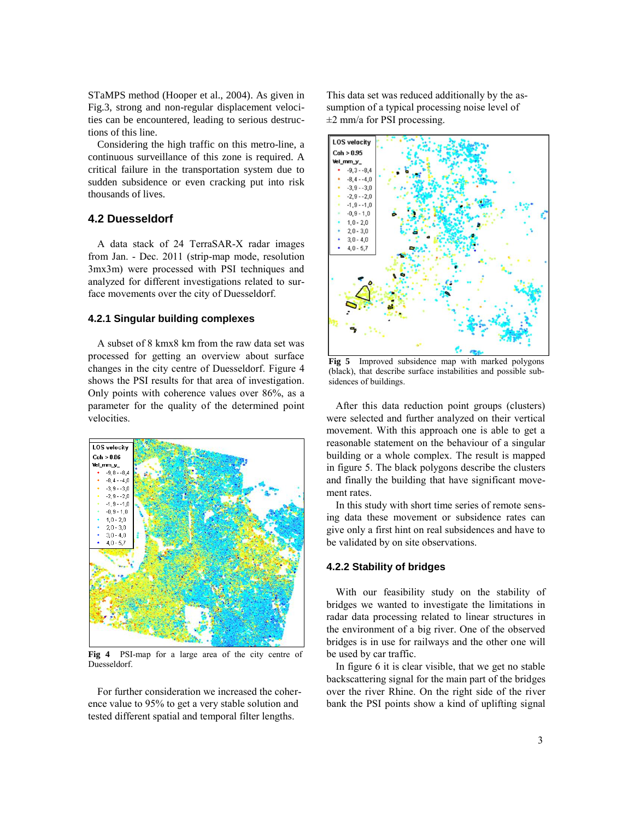STaMPS method (Hooper et al., 2004). As given in Fig.3, strong and non-regular displacement velocities can be encountered, leading to serious destructions of this line.

Considering the high traffic on this metro-line, a continuous surveillance of this zone is required. A critical failure in the transportation system due to sudden subsidence or even cracking put into risk thousands of lives.

# **4.2 Duesseldorf**

A data stack of 24 TerraSAR-X radar images from Jan. - Dec. 2011 (strip-map mode, resolution 3mx3m) were processed with PSI techniques and analyzed for different investigations related to surface movements over the city of Duesseldorf.

#### **4.2.1 Singular building complexes**

A subset of 8 kmx8 km from the raw data set was processed for getting an overview about surface changes in the city centre of Duesseldorf. Figure 4 shows the PSI results for that area of investigation. Only points with coherence values over 86%, as a parameter for the quality of the determined point velocities.



**Fig 4** PSI-map for a large area of the city centre of Duesseldorf.

For further consideration we increased the coherence value to 95% to get a very stable solution and tested different spatial and temporal filter lengths.

This data set was reduced additionally by the assumption of a typical processing noise level of  $\pm 2$  mm/a for PSI processing.



**Fig 5** Improved subsidence map with marked polygons (black), that describe surface instabilities and possible subsidences of buildings.

After this data reduction point groups (clusters) were selected and further analyzed on their vertical movement. With this approach one is able to get a reasonable statement on the behaviour of a singular building or a whole complex. The result is mapped in figure 5. The black polygons describe the clusters and finally the building that have significant movement rates.

In this study with short time series of remote sensing data these movement or subsidence rates can give only a first hint on real subsidences and have to be validated by on site observations.

### **4.2.2 Stability of bridges**

With our feasibility study on the stability of bridges we wanted to investigate the limitations in radar data processing related to linear structures in the environment of a big river. One of the observed bridges is in use for railways and the other one will be used by car traffic.

In figure 6 it is clear visible, that we get no stable backscattering signal for the main part of the bridges over the river Rhine. On the right side of the river bank the PSI points show a kind of uplifting signal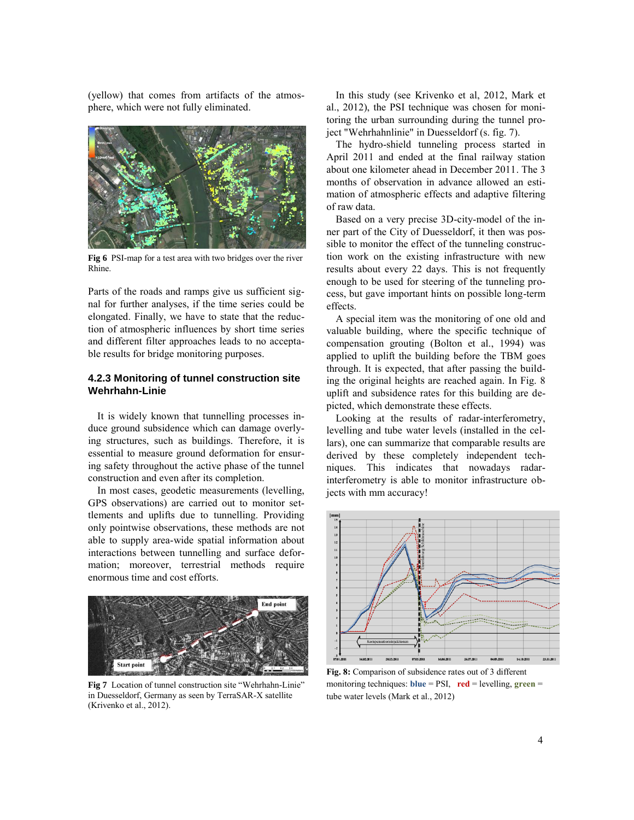(yellow) that comes from artifacts of the atmosphere, which were not fully eliminated.



**Fig 6** PSI-map for a test area with two bridges over the river Rhine.

Parts of the roads and ramps give us sufficient signal for further analyses, if the time series could be elongated. Finally, we have to state that the reduction of atmospheric influences by short time series and different filter approaches leads to no acceptable results for bridge monitoring purposes.

## **4.2.3 Monitoring of tunnel construction site Wehrhahn-Linie**

It is widely known that tunnelling processes induce ground subsidence which can damage overlying structures, such as buildings. Therefore, it is essential to measure ground deformation for ensuring safety throughout the active phase of the tunnel construction and even after its completion.

In most cases, geodetic measurements (levelling, GPS observations) are carried out to monitor settlements and uplifts due to tunnelling. Providing only pointwise observations, these methods are not able to supply area-wide spatial information about interactions between tunnelling and surface deformation; moreover, terrestrial methods require enormous time and cost efforts.



**Fig 7** Location of tunnel construction site "Wehrhahn-Linie" in Duesseldorf, Germany as seen by TerraSAR-X satellite (Krivenko et al., 2012).

In this study (see Krivenko et al, 2012, Mark et al., 2012), the PSI technique was chosen for monitoring the urban surrounding during the tunnel project "Wehrhahnlinie" in Duesseldorf (s. fig. 7).

The hydro-shield tunneling process started in April 2011 and ended at the final railway station about one kilometer ahead in December 2011. The 3 months of observation in advance allowed an estimation of atmospheric effects and adaptive filtering of raw data.

Based on a very precise 3D-city-model of the inner part of the City of Duesseldorf, it then was possible to monitor the effect of the tunneling construction work on the existing infrastructure with new results about every 22 days. This is not frequently enough to be used for steering of the tunneling process, but gave important hints on possible long-term effects.

A special item was the monitoring of one old and valuable building, where the specific technique of compensation grouting (Bolton et al., 1994) was applied to uplift the building before the TBM goes through. It is expected, that after passing the building the original heights are reached again. In Fig. 8 uplift and subsidence rates for this building are depicted, which demonstrate these effects.

Looking at the results of radar-interferometry, levelling and tube water levels (installed in the cellars), one can summarize that comparable results are derived by these completely independent techniques. This indicates that nowadays radarinterferometry is able to monitor infrastructure objects with mm accuracy!



**Fig. 8:** Comparison of subsidence rates out of 3 different monitoring techniques: **blue** = PSI, **red** = levelling, **green** = tube water levels (Mark et al., 2012)